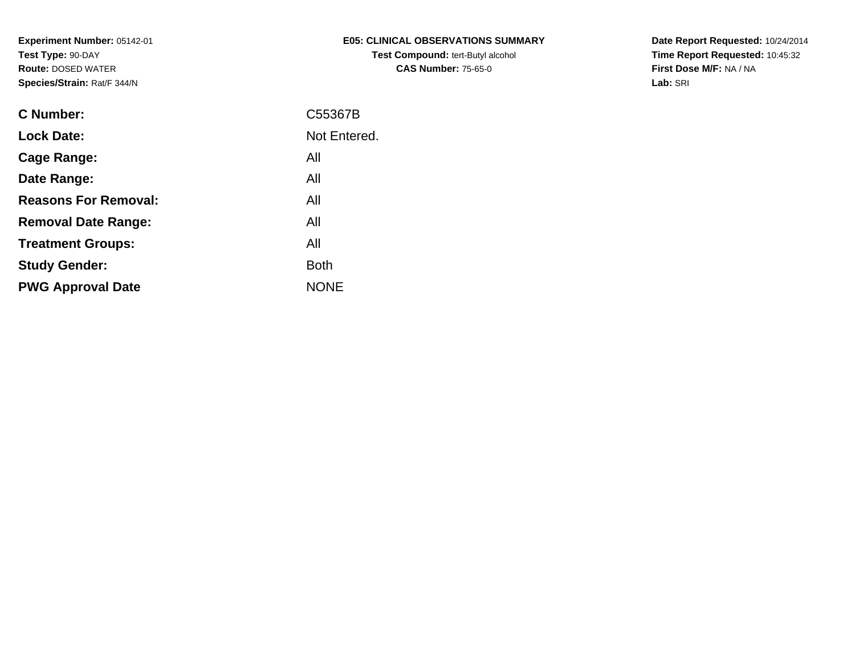| <b>E05: CLINICAL OBSERVATIONS SUMMARY</b> |
|-------------------------------------------|
| <b>Test Compound: tert-Butyl alcohol</b>  |
| <b>CAS Number: 75-65-0</b>                |

**Date Report Requested:** 10/24/2014 **Time Report Requested:** 10:45:32**First Dose M/F:** NA / NA**Lab:** SRI

| C Number:                   | C55367B      |
|-----------------------------|--------------|
| <b>Lock Date:</b>           | Not Entered. |
| Cage Range:                 | All          |
| Date Range:                 | All          |
| <b>Reasons For Removal:</b> | All          |
| <b>Removal Date Range:</b>  | All          |
| <b>Treatment Groups:</b>    | All          |
| <b>Study Gender:</b>        | <b>Both</b>  |
| <b>PWG Approval Date</b>    | <b>NONE</b>  |
|                             |              |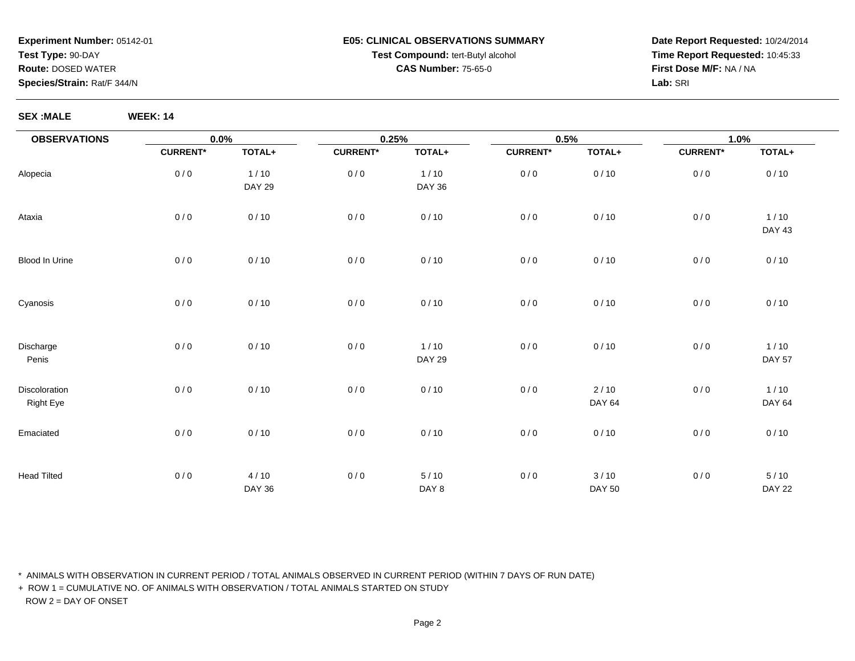#### **E05: CLINICAL OBSERVATIONS SUMMARYTest Compound:** tert-Butyl alcohol **CAS Number:** 75-65-0

**Date Report Requested:** 10/24/2014**Time Report Requested:** 10:45:33**First Dose M/F:** NA / NA**Lab:** SRI

**SEX :MALE WEEK: 14**

| <b>OBSERVATIONS</b>               | $0.0\%$         |                         | 0.25%           |                         | 0.5%            |                       | 1.0%            |                         |
|-----------------------------------|-----------------|-------------------------|-----------------|-------------------------|-----------------|-----------------------|-----------------|-------------------------|
|                                   | <b>CURRENT*</b> | TOTAL+                  | <b>CURRENT*</b> | TOTAL+                  | <b>CURRENT*</b> | TOTAL+                | <b>CURRENT*</b> | TOTAL+                  |
| Alopecia                          | 0/0             | $1/10$<br><b>DAY 29</b> | 0/0             | $1/10$<br><b>DAY 36</b> | 0/0             | 0/10                  | 0/0             | 0/10                    |
| Ataxia                            | 0/0             | 0/10                    | 0/0             | 0/10                    | 0/0             | 0/10                  | 0/0             | $1/10$<br><b>DAY 43</b> |
| <b>Blood In Urine</b>             | 0/0             | 0/10                    | 0/0             | 0/10                    | 0/0             | 0/10                  | 0/0             | 0/10                    |
| Cyanosis                          | 0/0             | 0/10                    | 0/0             | 0/10                    | 0/0             | 0/10                  | 0/0             | 0/10                    |
| Discharge<br>Penis                | 0/0             | 0/10                    | 0/0             | $1/10$<br><b>DAY 29</b> | 0/0             | 0/10                  | 0/0             | 1/10<br><b>DAY 57</b>   |
| Discoloration<br><b>Right Eye</b> | 0/0             | 0/10                    | 0/0             | 0/10                    | 0/0             | $2/10$<br>DAY 64      | 0/0             | 1/10<br>DAY 64          |
| Emaciated                         | 0/0             | 0/10                    | 0/0             | 0/10                    | 0/0             | 0/10                  | 0/0             | 0/10                    |
| <b>Head Tilted</b>                | 0/0             | 4/10<br><b>DAY 36</b>   | 0/0             | 5/10<br>DAY 8           | 0/0             | 3/10<br><b>DAY 50</b> | 0/0             | 5/10<br><b>DAY 22</b>   |

\* ANIMALS WITH OBSERVATION IN CURRENT PERIOD / TOTAL ANIMALS OBSERVED IN CURRENT PERIOD (WITHIN 7 DAYS OF RUN DATE)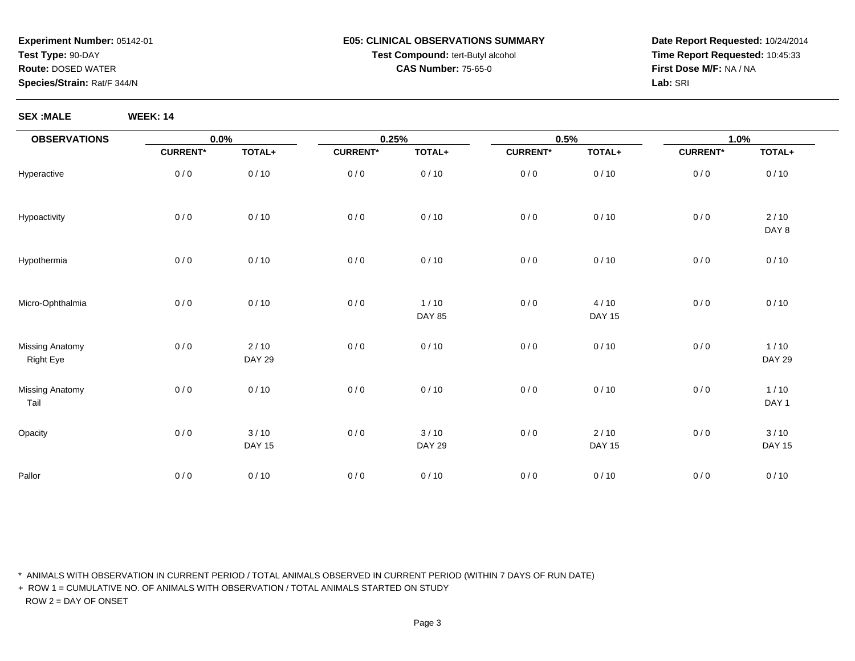# **E05: CLINICAL OBSERVATIONS SUMMARYTest Compound:** tert-Butyl alcohol **CAS Number:** 75-65-0

**Date Report Requested:** 10/24/2014**Time Report Requested:** 10:45:33**First Dose M/F:** NA / NA**Lab:** SRI

**SEX :MALE WEEK: 14**

| <b>OBSERVATIONS</b>                        | $0.0\%$         |                         | 0.25%           |                         | 0.5%            |                         | 1.0%            |                         |
|--------------------------------------------|-----------------|-------------------------|-----------------|-------------------------|-----------------|-------------------------|-----------------|-------------------------|
|                                            | <b>CURRENT*</b> | TOTAL+                  | <b>CURRENT*</b> | TOTAL+                  | <b>CURRENT*</b> | TOTAL+                  | <b>CURRENT*</b> | TOTAL+                  |
| Hyperactive                                | 0/0             | 0/10                    | 0/0             | 0/10                    | 0/0             | 0/10                    | 0/0             | 0/10                    |
| Hypoactivity                               | 0/0             | 0/10                    | 0/0             | 0/10                    | 0/0             | 0/10                    | 0/0             | $2/10$<br>DAY 8         |
| Hypothermia                                | 0/0             | 0/10                    | 0/0             | 0/10                    | 0/0             | 0/10                    | 0/0             | 0/10                    |
| Micro-Ophthalmia                           | 0/0             | 0/10                    | 0/0             | $1/10$<br><b>DAY 85</b> | 0/0             | 4/10<br><b>DAY 15</b>   | 0/0             | 0/10                    |
| <b>Missing Anatomy</b><br><b>Right Eye</b> | 0/0             | $2/10$<br><b>DAY 29</b> | 0/0             | 0/10                    | 0/0             | 0/10                    | 0/0             | $1/10$<br><b>DAY 29</b> |
| <b>Missing Anatomy</b><br>Tail             | 0/0             | 0/10                    | 0/0             | 0/10                    | 0/0             | 0/10                    | 0/0             | $1/10$<br>DAY 1         |
| Opacity                                    | 0/0             | 3/10<br><b>DAY 15</b>   | 0/0             | 3/10<br><b>DAY 29</b>   | 0/0             | $2/10$<br><b>DAY 15</b> | 0/0             | 3/10<br><b>DAY 15</b>   |
| Pallor                                     | 0/0             | 0/10                    | 0/0             | 0/10                    | 0/0             | 0/10                    | 0/0             | 0/10                    |

\* ANIMALS WITH OBSERVATION IN CURRENT PERIOD / TOTAL ANIMALS OBSERVED IN CURRENT PERIOD (WITHIN 7 DAYS OF RUN DATE)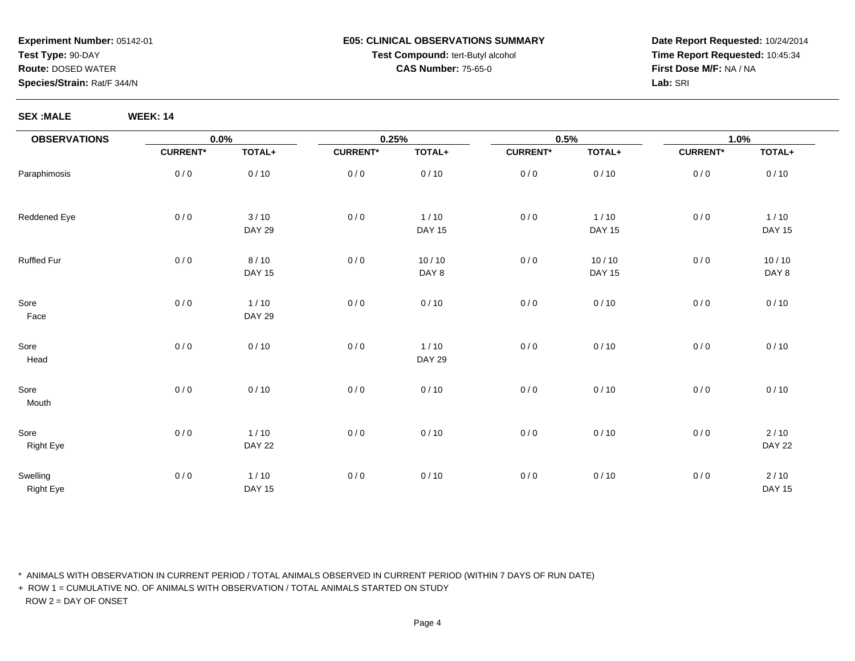# **Experiment Number:** 05142-01**Test Type:** 90-DAY**Route:** DOSED WATER

#### **Species/Strain:** Rat/F 344/N

# **SEX :MALE WEEK: 14**

| E05: CLINICAL OBSERVATIONS SUMMARY       |
|------------------------------------------|
| <b>Test Compound: tert-Butyl alcohol</b> |
| <b>CAS Number: 75-65-0</b>               |

**Date Report Requested:** 10/24/2014**Time Report Requested:** 10:45:34**First Dose M/F:** NA / NA**Lab:** SRI

| <b>OBSERVATIONS</b>          | $0.0\%$         |                         | 0.25%           |                         | 0.5%            |                         | 1.0%            |                         |
|------------------------------|-----------------|-------------------------|-----------------|-------------------------|-----------------|-------------------------|-----------------|-------------------------|
|                              | <b>CURRENT*</b> | TOTAL+                  | <b>CURRENT*</b> | TOTAL+                  | <b>CURRENT*</b> | TOTAL+                  | <b>CURRENT*</b> | TOTAL+                  |
| Paraphimosis                 | 0/0             | 0/10                    | 0/0             | 0/10                    | 0/0             | 0/10                    | 0/0             | 0/10                    |
| Reddened Eye                 | 0/0             | 3/10<br><b>DAY 29</b>   | 0/0             | $1/10$<br><b>DAY 15</b> | 0/0             | $1/10$<br><b>DAY 15</b> | $0/0$           | $1/10$<br><b>DAY 15</b> |
| Ruffled Fur                  | 0/0             | 8/10<br><b>DAY 15</b>   | 0/0             | 10/10<br>DAY 8          | 0/0             | 10/10<br><b>DAY 15</b>  | 0/0             | 10/10<br>DAY 8          |
| Sore<br>Face                 | 0/0             | $1/10$<br><b>DAY 29</b> | 0/0             | 0/10                    | 0/0             | 0/10                    | 0/0             | 0/10                    |
| Sore<br>Head                 | 0/0             | 0/10                    | 0/0             | $1/10$<br><b>DAY 29</b> | 0/0             | 0/10                    | 0/0             | 0/10                    |
| Sore<br>Mouth                | 0/0             | 0/10                    | 0/0             | 0/10                    | 0/0             | 0/10                    | 0/0             | 0/10                    |
| Sore<br><b>Right Eye</b>     | 0/0             | $1/10$<br><b>DAY 22</b> | 0/0             | 0/10                    | 0/0             | 0/10                    | 0/0             | 2/10<br><b>DAY 22</b>   |
| Swelling<br><b>Right Eye</b> | 0/0             | 1/10<br><b>DAY 15</b>   | 0/0             | 0/10                    | 0/0             | 0/10                    | 0/0             | 2/10<br><b>DAY 15</b>   |

\* ANIMALS WITH OBSERVATION IN CURRENT PERIOD / TOTAL ANIMALS OBSERVED IN CURRENT PERIOD (WITHIN 7 DAYS OF RUN DATE)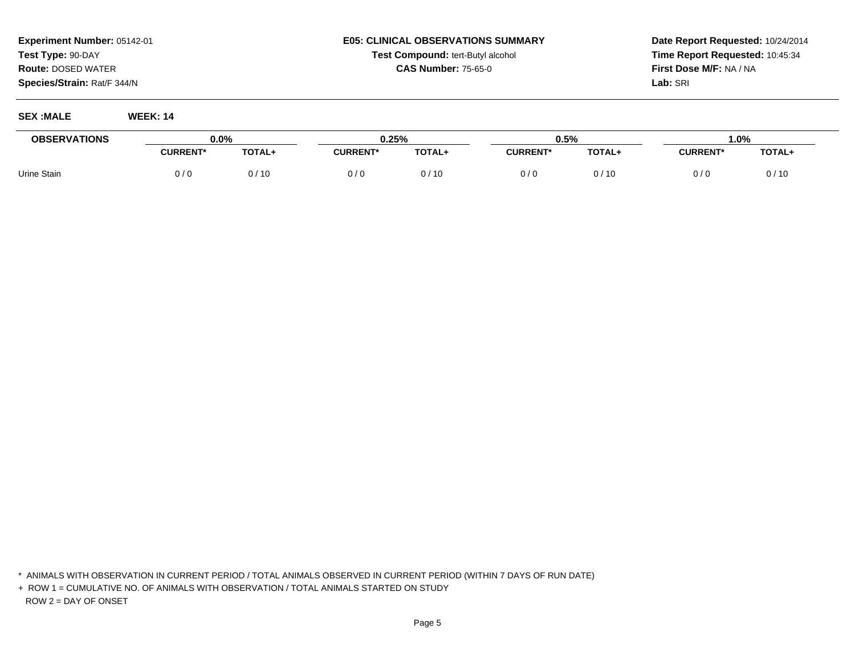# **Experiment Number:** 05142-01**Test Type:** 90-DAY**Route:** DOSED WATER

**Species/Strain:** Rat/F 344/N

#### **SEX :MALE WEEK: 14**

| <b>E05: CLINICAL OBSERVATIONS SUMMARY</b> |
|-------------------------------------------|
| <b>Test Compound: tert-Butyl alcohol</b>  |
| <b>CAS Number: 75-65-0</b>                |

**Date Report Requested:** 10/24/2014**Time Report Requested:** 10:45:34**First Dose M/F:** NA / NA**Lab:** SRI

| <b>OBSERVATIONS</b> | $0.0\%$         |               | 0.25%           |        | 0.5%            |        | 1.0%            |        |
|---------------------|-----------------|---------------|-----------------|--------|-----------------|--------|-----------------|--------|
|                     | <b>CURRENT*</b> | <b>TOTAL+</b> | <b>CURRENT*</b> | TOTAL+ | <b>CURRENT*</b> | TOTAL+ | <b>CURRENT*</b> | TOTAL+ |
| Urine Stain         | 0 / 0           | /10           |                 | '10    | 0/0             | /10    | 0/0             | 0/10   |

<sup>\*</sup> ANIMALS WITH OBSERVATION IN CURRENT PERIOD / TOTAL ANIMALS OBSERVED IN CURRENT PERIOD (WITHIN 7 DAYS OF RUN DATE)

<sup>+</sup> ROW 1 = CUMULATIVE NO. OF ANIMALS WITH OBSERVATION / TOTAL ANIMALS STARTED ON STUDYROW 2 = DAY OF ONSET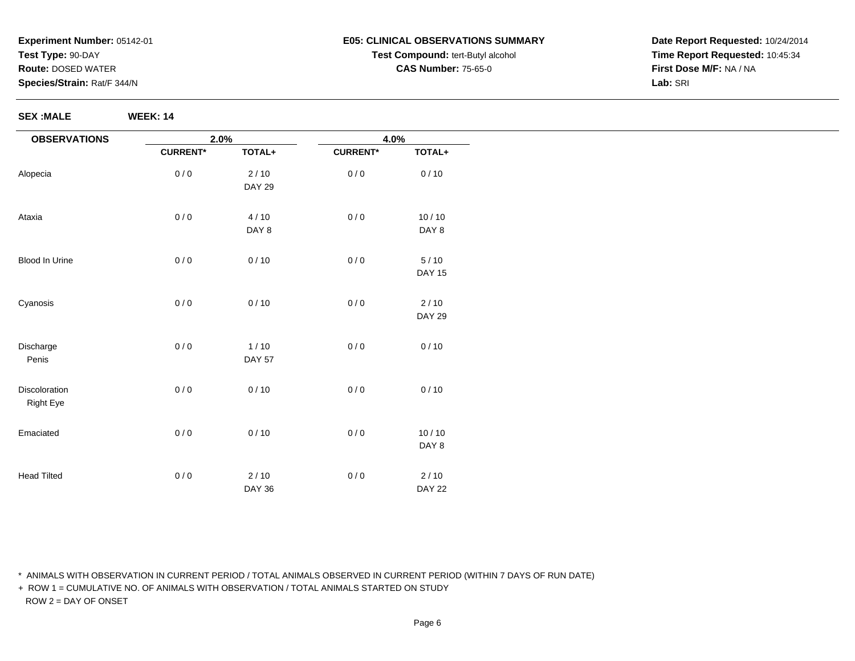#### **SEX :MALE WEEK: 14**

| E05: CLINICAL OBSERVATIONS SUMMARY       |
|------------------------------------------|
| <b>Test Compound: tert-Butyl alcohol</b> |
| <b>CAS Number: 75-65-0</b>               |

**Date Report Requested:** 10/24/2014**Time Report Requested:** 10:45:34**First Dose M/F:** NA / NA**Lab:** SRI

| <b>OBSERVATIONS</b> | 2.0%            |               | 4.0%            |               |
|---------------------|-----------------|---------------|-----------------|---------------|
|                     | <b>CURRENT*</b> | TOTAL+        | <b>CURRENT*</b> | TOTAL+        |
| Alopecia            | 0/0             | 2/10          | 0/0             | 0/10          |
|                     |                 | <b>DAY 29</b> |                 |               |
| Ataxia              | 0/0             | 4/10          | 0/0             | 10/10         |
|                     |                 | DAY 8         |                 | DAY 8         |
| Blood In Urine      | 0/0             | 0/10          | $0/0$           | 5/10          |
|                     |                 |               |                 | <b>DAY 15</b> |
| Cyanosis            | 0/0             | 0/10          | $0/0$           | 2/10          |
|                     |                 |               |                 | <b>DAY 29</b> |
| Discharge           | 0/0             | $1/10$        | 0/0             | 0/10          |
| Penis               |                 | <b>DAY 57</b> |                 |               |
| Discoloration       | 0/0             | 0/10          | $0/0$           | 0/10          |
| <b>Right Eye</b>    |                 |               |                 |               |
| Emaciated           | 0/0             | 0/10          | $0/0$           | 10/10         |
|                     |                 |               |                 | DAY 8         |
| <b>Head Tilted</b>  | 0/0             | 2/10          | $0/0$           | 2/10          |
|                     |                 | <b>DAY 36</b> |                 | <b>DAY 22</b> |

\* ANIMALS WITH OBSERVATION IN CURRENT PERIOD / TOTAL ANIMALS OBSERVED IN CURRENT PERIOD (WITHIN 7 DAYS OF RUN DATE)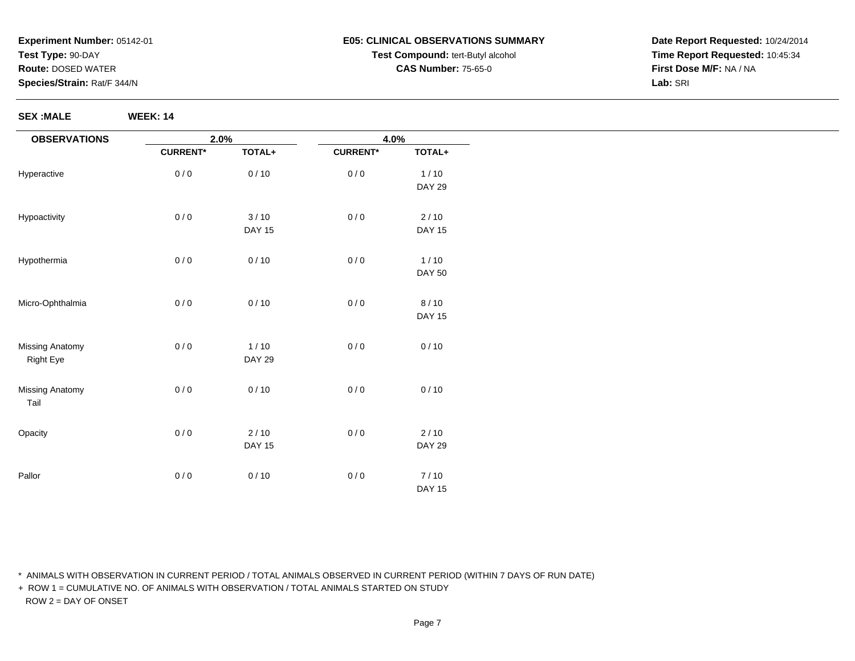**SEX :MALE WEEK: 14**

#### **E05: CLINICAL OBSERVATIONS SUMMARYTest Compound:** tert-Butyl alcohol **CAS Number:** 75-65-0

**Date Report Requested:** 10/24/2014**Time Report Requested:** 10:45:34**First Dose M/F:** NA / NA**Lab:** SRI

**OBSERVATIONS**HyperactiveHypoactivityHypothermiaMicro-OphthalmiaMissing AnatomyRight EyeMissing AnatomyTail**Opacity** Pallor**2.0%CURRENT\* TOTAL+**0 / 0 0 / 10 0 / 0 $3/10$ DAY 15 $0/0$  $0/10$ 0 / 0 0 / 10 0 / 0 $1/10$ DAY 29 $0/0$  $0/10$ 0 / 0 2 / 10 DAY 15 $0/0$  $0/10$ **4.0%CURRENT\* TOTAL+**0 / 0 $1/10$ DAY 29 $0/0$  $2/10$ DAY 15 $0/0$  $1/10$ DAY 500 / 0 8 / 10 DAY 150 / 0 $0/10$  $0/0$  $0/10$ 0 / 0 2 / 10 DAY 29 $0/0$  7 / 10 DAY 15

\* ANIMALS WITH OBSERVATION IN CURRENT PERIOD / TOTAL ANIMALS OBSERVED IN CURRENT PERIOD (WITHIN 7 DAYS OF RUN DATE)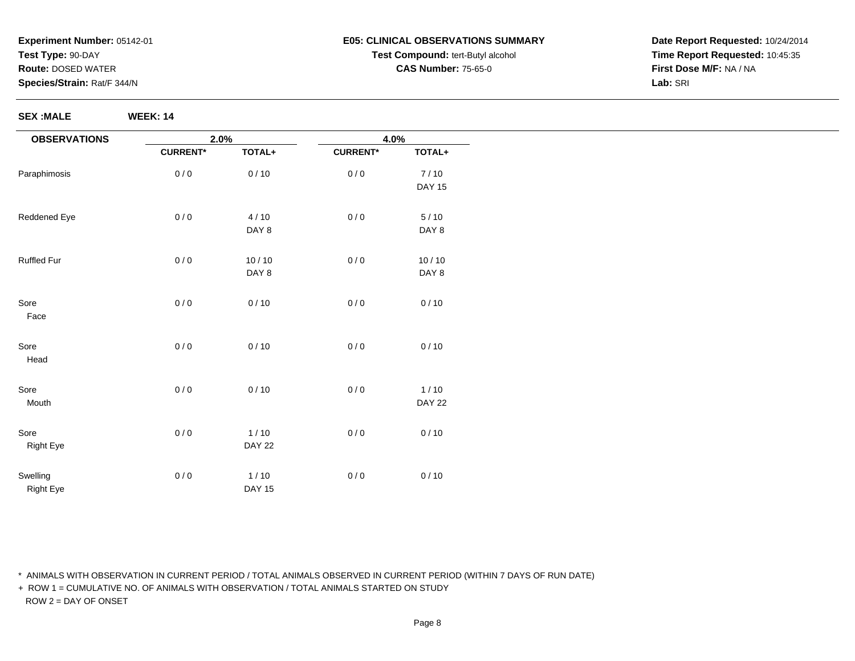**SEX :MALE WEEK: 14**

# **E05: CLINICAL OBSERVATIONS SUMMARYTest Compound:** tert-Butyl alcohol **CAS Number:** 75-65-0

**Date Report Requested:** 10/24/2014**Time Report Requested:** 10:45:35**First Dose M/F:** NA / NA**Lab:** SRI

| <b>OBSERVATIONS</b> | 2.0%            |               | 4.0%            |               |
|---------------------|-----------------|---------------|-----------------|---------------|
|                     | <b>CURRENT*</b> | TOTAL+        | <b>CURRENT*</b> | TOTAL+        |
| Paraphimosis        | 0/0             | 0/10          | 0/0             | 7/10          |
|                     |                 |               |                 | <b>DAY 15</b> |
| Reddened Eye        | 0/0             | 4/10          | 0/0             | $5/10$        |
|                     |                 | DAY 8         |                 | DAY 8         |
| Ruffled Fur         | 0/0             | 10/10         | 0/0             | 10/10         |
|                     |                 | DAY 8         |                 | DAY 8         |
| Sore                | 0/0             | 0/10          | 0/0             | 0/10          |
| Face                |                 |               |                 |               |
| Sore                | 0/0             | 0/10          | 0/0             | 0/10          |
| Head                |                 |               |                 |               |
| Sore                | 0/0             | 0/10          | 0/0             | $1/10$        |
| Mouth               |                 |               |                 | <b>DAY 22</b> |
| Sore                | 0/0             | $1/10$        | 0/0             | 0/10          |
| Right Eye           |                 | <b>DAY 22</b> |                 |               |
| Swelling            | 0/0             | $1/10$        | 0/0             | 0/10          |
| <b>Right Eye</b>    |                 | <b>DAY 15</b> |                 |               |

\* ANIMALS WITH OBSERVATION IN CURRENT PERIOD / TOTAL ANIMALS OBSERVED IN CURRENT PERIOD (WITHIN 7 DAYS OF RUN DATE)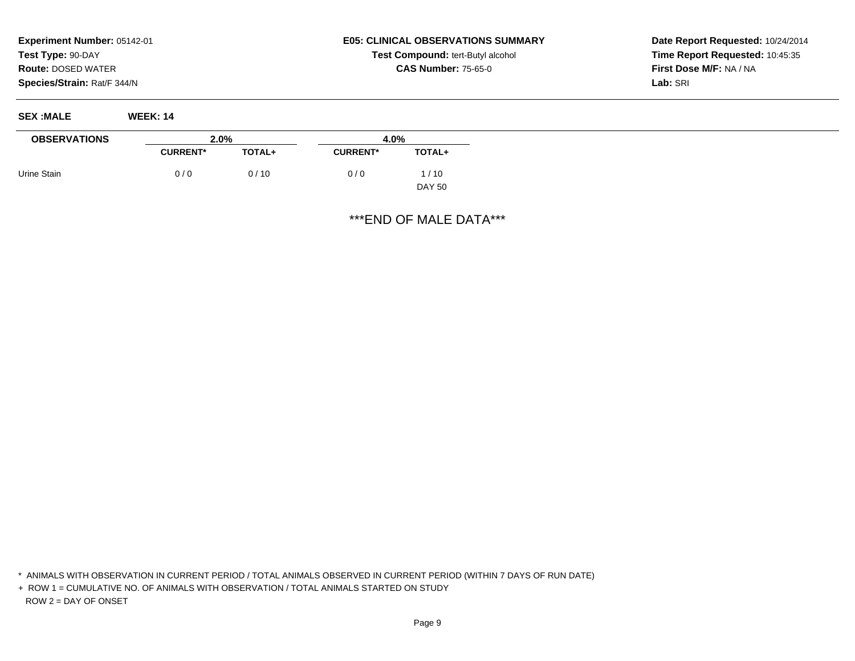# **E05: CLINICAL OBSERVATIONS SUMMARYTest Compound:** tert-Butyl alcohol **CAS Number:** 75-65-0

**Date Report Requested:** 10/24/2014**Time Report Requested:** 10:45:35**First Dose M/F:** NA / NA**Lab:** SRI

| <b>SEX:MALE</b>     | <b>WEEK: 14</b> |               |                 |               |
|---------------------|-----------------|---------------|-----------------|---------------|
| <b>OBSERVATIONS</b> | 2.0%            |               | 4.0%            |               |
|                     | <b>CURRENT*</b> | <b>TOTAL+</b> | <b>CURRENT*</b> | TOTAL+        |
| Urine Stain         | 0/0             | 0/10          | 0/0             | 1/10          |
|                     |                 |               |                 | <b>DAY 50</b> |

\*\*\*END OF MALE DATA\*\*\*

\* ANIMALS WITH OBSERVATION IN CURRENT PERIOD / TOTAL ANIMALS OBSERVED IN CURRENT PERIOD (WITHIN 7 DAYS OF RUN DATE)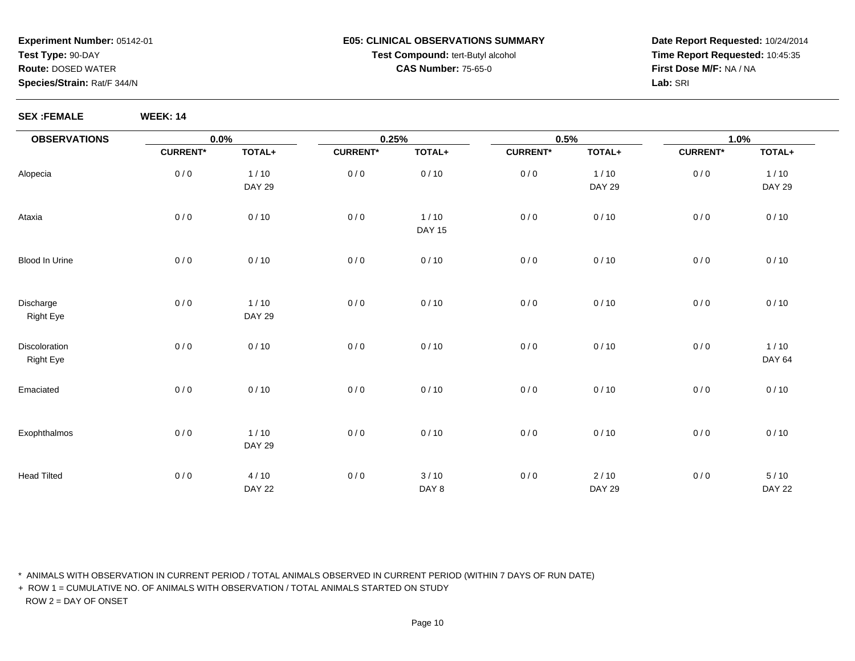#### **E05: CLINICAL OBSERVATIONS SUMMARYTest Compound:** tert-Butyl alcohol **CAS Number:** 75-65-0

**Date Report Requested:** 10/24/2014**Time Report Requested:** 10:45:35**First Dose M/F:** NA / NA**Lab:** SRI

**SEX :FEMALE WEEK: 14**

| <b>OBSERVATIONS</b>               | 0.0%            |                         | 0.25%           |                         | 0.5%            |                         | 1.0%            |                         |  |
|-----------------------------------|-----------------|-------------------------|-----------------|-------------------------|-----------------|-------------------------|-----------------|-------------------------|--|
|                                   | <b>CURRENT*</b> | TOTAL+                  | <b>CURRENT*</b> | TOTAL+                  | <b>CURRENT*</b> | TOTAL+                  | <b>CURRENT*</b> | TOTAL+                  |  |
| Alopecia                          | 0/0             | 1/10<br><b>DAY 29</b>   | 0/0             | 0/10                    | 0/0             | 1/10<br><b>DAY 29</b>   | 0/0             | 1/10<br><b>DAY 29</b>   |  |
| Ataxia                            | 0/0             | 0/10                    | 0/0             | $1/10$<br><b>DAY 15</b> | 0/0             | 0/10                    | 0/0             | 0/10                    |  |
| Blood In Urine                    | 0/0             | 0/10                    | 0/0             | 0/10                    | 0/0             | 0/10                    | 0/0             | 0/10                    |  |
| Discharge<br><b>Right Eye</b>     | 0/0             | $1/10$<br><b>DAY 29</b> | 0/0             | 0/10                    | 0/0             | 0/10                    | 0/0             | 0/10                    |  |
| Discoloration<br><b>Right Eye</b> | 0/0             | 0/10                    | 0/0             | 0/10                    | 0/0             | 0/10                    | 0/0             | $1/10$<br><b>DAY 64</b> |  |
| Emaciated                         | 0/0             | 0/10                    | 0/0             | 0/10                    | 0/0             | 0/10                    | 0/0             | 0/10                    |  |
| Exophthalmos                      | 0/0             | $1/10$<br><b>DAY 29</b> | 0/0             | 0/10                    | 0/0             | 0/10                    | 0/0             | 0/10                    |  |
| <b>Head Tilted</b>                | 0/0             | 4/10<br><b>DAY 22</b>   | 0/0             | 3/10<br>DAY 8           | 0/0             | $2/10$<br><b>DAY 29</b> | 0/0             | $5/10$<br><b>DAY 22</b> |  |

\* ANIMALS WITH OBSERVATION IN CURRENT PERIOD / TOTAL ANIMALS OBSERVED IN CURRENT PERIOD (WITHIN 7 DAYS OF RUN DATE)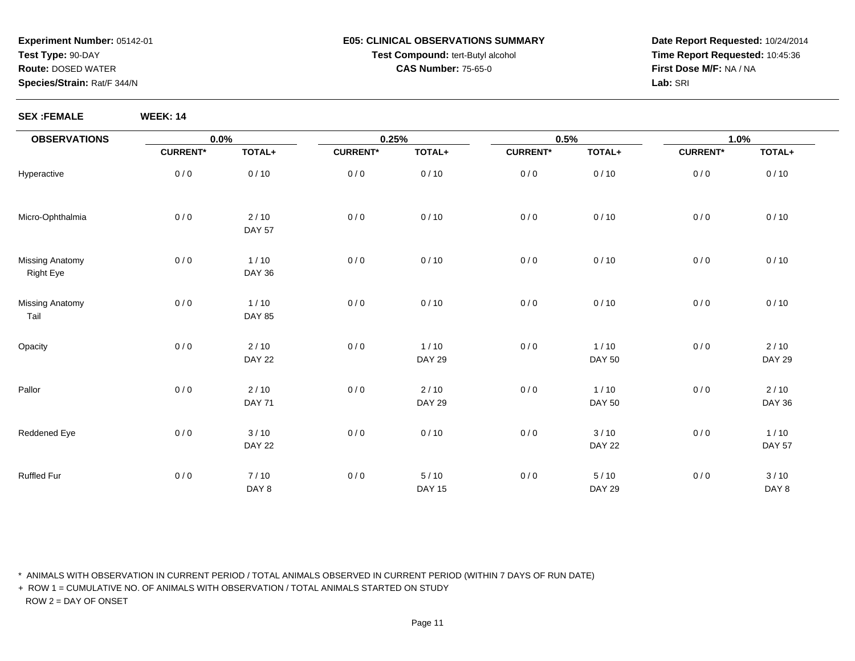#### **E05: CLINICAL OBSERVATIONS SUMMARYTest Compound:** tert-Butyl alcohol **CAS Number:** 75-65-0

**Date Report Requested:** 10/24/2014**Time Report Requested:** 10:45:36**First Dose M/F:** NA / NA**Lab:** SRI

**SEX :FEMALE WEEK: 14**

| <b>OBSERVATIONS</b>                        | 0.0%            |                         | 0.25%           |                         | 0.5%            |                         | 1.0%            |                         |
|--------------------------------------------|-----------------|-------------------------|-----------------|-------------------------|-----------------|-------------------------|-----------------|-------------------------|
|                                            | <b>CURRENT*</b> | TOTAL+                  | <b>CURRENT*</b> | TOTAL+                  | <b>CURRENT*</b> | TOTAL+                  | <b>CURRENT*</b> | TOTAL+                  |
| Hyperactive                                | 0/0             | 0/10                    | 0/0             | 0/10                    | 0/0             | 0/10                    | 0/0             | 0/10                    |
| Micro-Ophthalmia                           | 0/0             | 2/10<br><b>DAY 57</b>   | 0/0             | 0/10                    | 0/0             | 0/10                    | 0/0             | 0/10                    |
| <b>Missing Anatomy</b><br><b>Right Eye</b> | 0/0             | $1/10$<br><b>DAY 36</b> | 0/0             | 0/10                    | 0/0             | 0/10                    | 0/0             | 0/10                    |
| <b>Missing Anatomy</b><br>Tail             | 0/0             | $1/10$<br><b>DAY 85</b> | 0/0             | 0/10                    | 0/0             | 0/10                    | 0/0             | 0/10                    |
| Opacity                                    | 0/0             | 2/10<br><b>DAY 22</b>   | 0/0             | $1/10$<br><b>DAY 29</b> | 0/0             | $1/10$<br><b>DAY 50</b> | 0/0             | 2/10<br><b>DAY 29</b>   |
| Pallor                                     | 0/0             | 2/10<br><b>DAY 71</b>   | 0/0             | 2/10<br><b>DAY 29</b>   | 0/0             | 1/10<br><b>DAY 50</b>   | 0/0             | 2/10<br><b>DAY 36</b>   |
| Reddened Eye                               | 0/0             | 3/10<br><b>DAY 22</b>   | 0/0             | 0/10                    | 0/0             | 3/10<br><b>DAY 22</b>   | 0/0             | $1/10$<br><b>DAY 57</b> |
| <b>Ruffled Fur</b>                         | 0/0             | 7/10<br>DAY 8           | 0/0             | $5/10$<br><b>DAY 15</b> | 0/0             | 5/10<br><b>DAY 29</b>   | 0/0             | 3/10<br>DAY 8           |

\* ANIMALS WITH OBSERVATION IN CURRENT PERIOD / TOTAL ANIMALS OBSERVED IN CURRENT PERIOD (WITHIN 7 DAYS OF RUN DATE)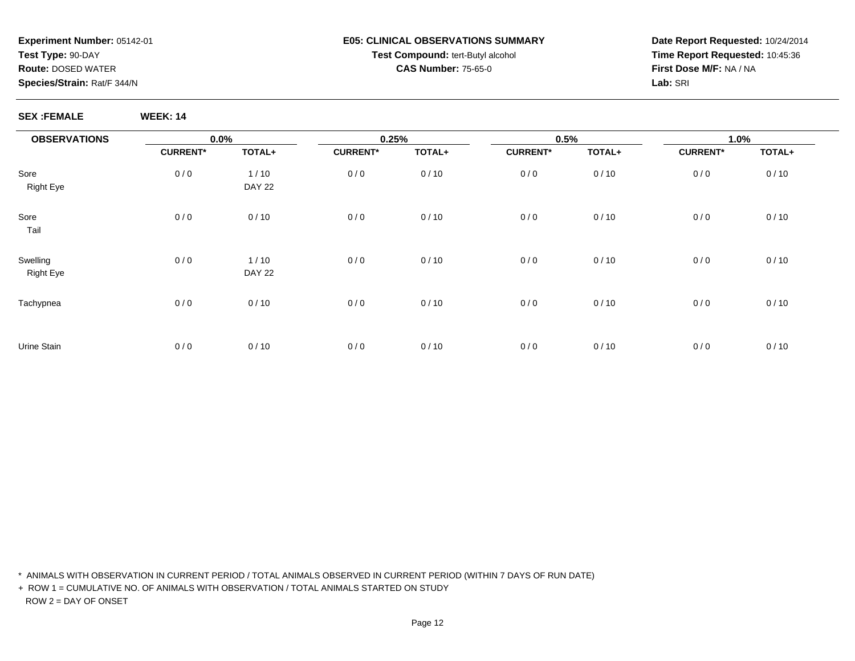#### **E05: CLINICAL OBSERVATIONS SUMMARYTest Compound:** tert-Butyl alcohol **CAS Number:** 75-65-0

**Date Report Requested:** 10/24/2014**Time Report Requested:** 10:45:36**First Dose M/F:** NA / NA**Lab:** SRI

**SEX :FEMALE WEEK: 14**

| <b>OBSERVATIONS</b>          | $0.0\%$         |                       |                 | 0.25%  |                 | 0.5%   |                 | 1.0%   |  |
|------------------------------|-----------------|-----------------------|-----------------|--------|-----------------|--------|-----------------|--------|--|
|                              | <b>CURRENT*</b> | TOTAL+                | <b>CURRENT*</b> | TOTAL+ | <b>CURRENT*</b> | TOTAL+ | <b>CURRENT*</b> | TOTAL+ |  |
| Sore<br><b>Right Eye</b>     | 0/0             | 1/10<br><b>DAY 22</b> | 0/0             | 0/10   | 0/0             | 0/10   | 0/0             | 0/10   |  |
| Sore<br>Tail                 | 0/0             | 0/10                  | 0/0             | 0/10   | 0/0             | 0/10   | 0/0             | 0/10   |  |
| Swelling<br><b>Right Eye</b> | 0/0             | 1/10<br><b>DAY 22</b> | 0/0             | 0/10   | 0/0             | 0/10   | 0/0             | 0/10   |  |
| Tachypnea                    | 0/0             | 0/10                  | 0/0             | 0/10   | 0/0             | 0/10   | 0/0             | 0/10   |  |
| Urine Stain                  | 0/0             | 0/10                  | 0/0             | 0/10   | 0/0             | 0/10   | 0/0             | 0/10   |  |

\* ANIMALS WITH OBSERVATION IN CURRENT PERIOD / TOTAL ANIMALS OBSERVED IN CURRENT PERIOD (WITHIN 7 DAYS OF RUN DATE)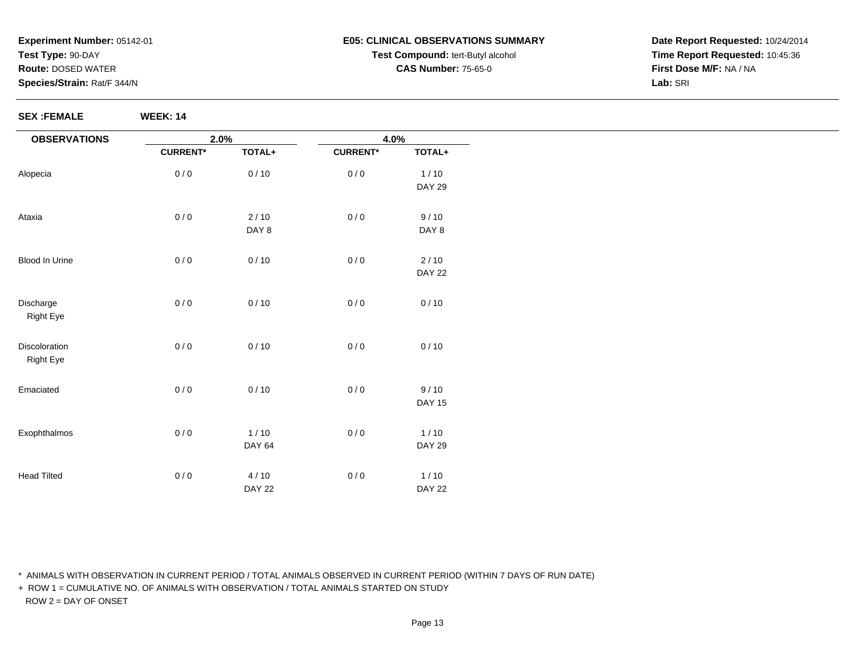#### **E05: CLINICAL OBSERVATIONS SUMMARYTest Compound:** tert-Butyl alcohol **CAS Number:** 75-65-0

**Date Report Requested:** 10/24/2014**Time Report Requested:** 10:45:36**First Dose M/F:** NA / NA**Lab:** SRI

**SEX :FEMALE WEEK: 14**

| <b>OBSERVATIONS</b> | 2.0%            |               | 4.0%            |               |
|---------------------|-----------------|---------------|-----------------|---------------|
|                     | <b>CURRENT*</b> | TOTAL+        | <b>CURRENT*</b> | TOTAL+        |
| Alopecia            | 0/0             | 0/10          | 0/0             | $1/10$        |
|                     |                 |               |                 | <b>DAY 29</b> |
| Ataxia              | 0/0             | $2/10$        | 0/0             | 9/10          |
|                     |                 | DAY 8         |                 | DAY 8         |
| Blood In Urine      | 0/0             | 0/10          | 0/0             | $2/10$        |
|                     |                 |               |                 | <b>DAY 22</b> |
| Discharge           | 0/0             | 0/10          | 0/0             | 0/10          |
| <b>Right Eye</b>    |                 |               |                 |               |
| Discoloration       | 0/0             | 0/10          | 0/0             | 0/10          |
| <b>Right Eye</b>    |                 |               |                 |               |
| Emaciated           | 0/0             | 0/10          | 0/0             | 9/10          |
|                     |                 |               |                 | <b>DAY 15</b> |
| Exophthalmos        | 0/0             | $1/10$        | 0/0             | $1/10$        |
|                     |                 | DAY 64        |                 | <b>DAY 29</b> |
| <b>Head Tilted</b>  | 0/0             | 4/10          | 0/0             | $1/10$        |
|                     |                 | <b>DAY 22</b> |                 | <b>DAY 22</b> |

\* ANIMALS WITH OBSERVATION IN CURRENT PERIOD / TOTAL ANIMALS OBSERVED IN CURRENT PERIOD (WITHIN 7 DAYS OF RUN DATE)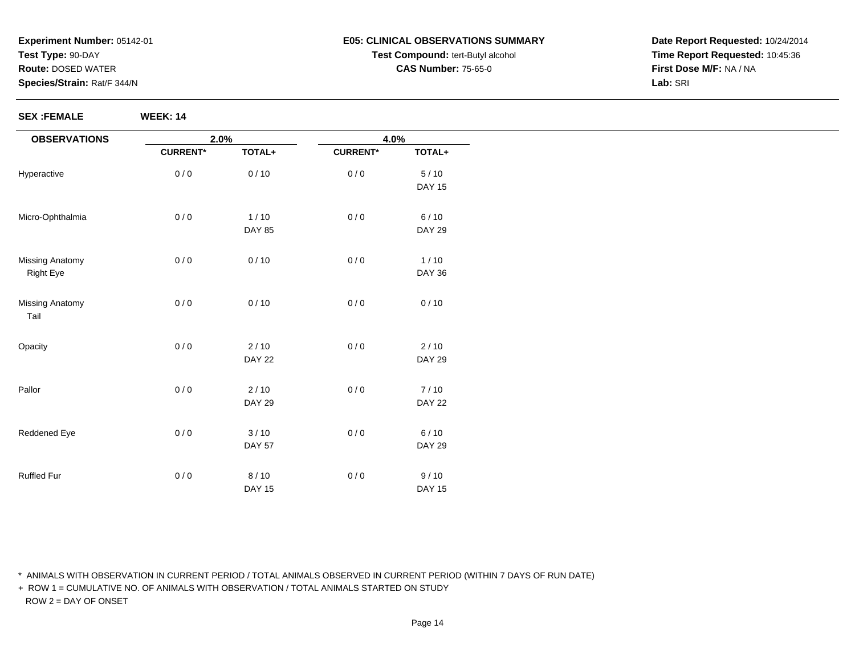#### **E05: CLINICAL OBSERVATIONS SUMMARYTest Compound:** tert-Butyl alcohol **CAS Number:** 75-65-0

**Date Report Requested:** 10/24/2014**Time Report Requested:** 10:45:36**First Dose M/F:** NA / NA**Lab:** SRI

**SEX :FEMALE WEEK: 14**

| <b>OBSERVATIONS</b>            | 2.0%<br>4.0%    |               |                 |               |
|--------------------------------|-----------------|---------------|-----------------|---------------|
|                                | <b>CURRENT*</b> | TOTAL+        | <b>CURRENT*</b> | TOTAL+        |
| Hyperactive                    | 0/0             | 0/10          | 0/0             | $5/10$        |
|                                |                 |               |                 | <b>DAY 15</b> |
| Micro-Ophthalmia               | 0/0             | $1/10$        | 0/0             | 6/10          |
|                                |                 | <b>DAY 85</b> |                 | <b>DAY 29</b> |
| <b>Missing Anatomy</b>         | 0/0             | 0/10          | 0/0             | 1/10          |
| <b>Right Eye</b>               |                 |               |                 | <b>DAY 36</b> |
| <b>Missing Anatomy</b><br>Tail | 0/0             | 0/10          | 0/0             | 0/10          |
| Opacity                        | 0/0             | $2/10$        | 0/0             | 2/10          |
|                                |                 | <b>DAY 22</b> |                 | <b>DAY 29</b> |
| Pallor                         | 0/0             | $2/10$        | 0/0             | 7/10          |
|                                |                 | <b>DAY 29</b> |                 | <b>DAY 22</b> |
| Reddened Eye                   | 0/0             | 3/10          | 0/0             | 6/10          |
|                                |                 | <b>DAY 57</b> |                 | <b>DAY 29</b> |
| Ruffled Fur                    | 0/0             | 8/10          | 0/0             | 9/10          |
|                                |                 | <b>DAY 15</b> |                 | <b>DAY 15</b> |

\* ANIMALS WITH OBSERVATION IN CURRENT PERIOD / TOTAL ANIMALS OBSERVED IN CURRENT PERIOD (WITHIN 7 DAYS OF RUN DATE)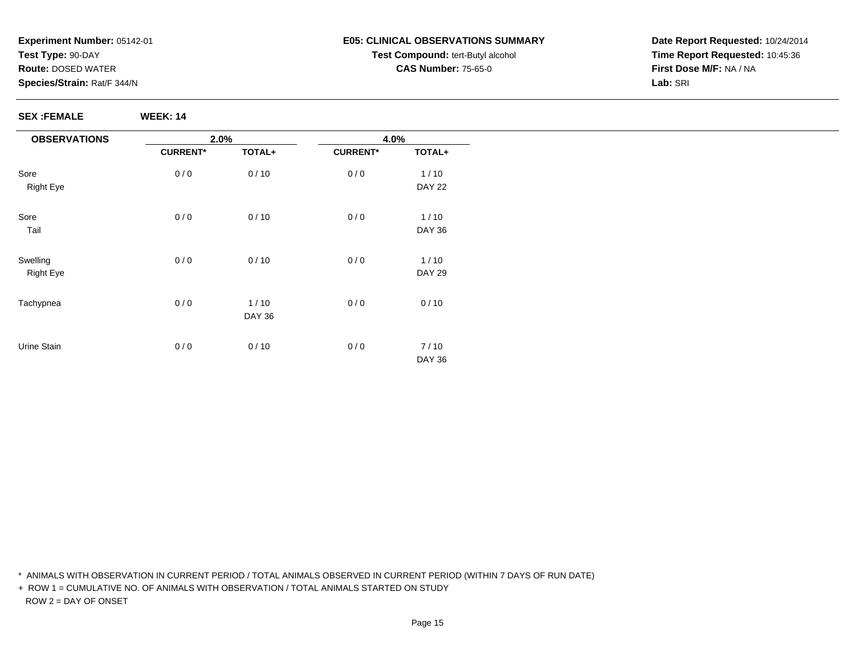#### **E05: CLINICAL OBSERVATIONS SUMMARYTest Compound:** tert-Butyl alcohol **CAS Number:** 75-65-0

**Date Report Requested:** 10/24/2014**Time Report Requested:** 10:45:36**First Dose M/F:** NA / NA**Lab:** SRI

**SEX :FEMALE WEEK: 14**

| <b>OBSERVATIONS</b> | 2.0%            |               |                 | 4.0%          |  |  |
|---------------------|-----------------|---------------|-----------------|---------------|--|--|
|                     | <b>CURRENT*</b> | TOTAL+        | <b>CURRENT*</b> | TOTAL+        |  |  |
| Sore                | 0/0             | 0/10          | 0/0             | 1/10          |  |  |
| <b>Right Eye</b>    |                 |               |                 | <b>DAY 22</b> |  |  |
| Sore                | 0/0             | 0/10          | 0/0             | $1/10$        |  |  |
| Tail                |                 |               |                 | <b>DAY 36</b> |  |  |
| Swelling            | 0/0             | 0/10          | 0/0             | 1/10          |  |  |
| <b>Right Eye</b>    |                 |               |                 | <b>DAY 29</b> |  |  |
| Tachypnea           | 0/0             | $1/10$        | 0/0             | 0/10          |  |  |
|                     |                 | <b>DAY 36</b> |                 |               |  |  |
| Urine Stain         | 0/0             | 0/10          | 0/0             | 7/10          |  |  |
|                     |                 |               |                 | <b>DAY 36</b> |  |  |

\* ANIMALS WITH OBSERVATION IN CURRENT PERIOD / TOTAL ANIMALS OBSERVED IN CURRENT PERIOD (WITHIN 7 DAYS OF RUN DATE)